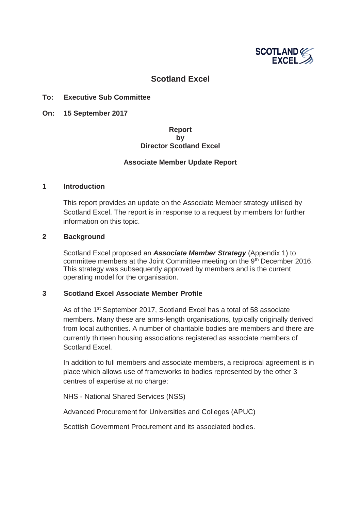

# **Scotland Excel**

### **To: Executive Sub Committee**

**On: 15 September 2017**

### **Report by Director Scotland Excel**

### **Associate Member Update Report**

### **1 Introduction**

This report provides an update on the Associate Member strategy utilised by Scotland Excel. The report is in response to a request by members for further information on this topic.

### **2 Background**

Scotland Excel proposed an *Associate Member Strategy* (Appendix 1) to committee members at the Joint Committee meeting on the 9th December 2016. This strategy was subsequently approved by members and is the current operating model for the organisation.

### **3 Scotland Excel Associate Member Profile**

As of the 1<sup>st</sup> September 2017, Scotland Excel has a total of 58 associate members. Many these are arms-length organisations, typically originally derived from local authorities. A number of charitable bodies are members and there are currently thirteen housing associations registered as associate members of Scotland Excel.

In addition to full members and associate members, a reciprocal agreement is in place which allows use of frameworks to bodies represented by the other 3 centres of expertise at no charge:

NHS - National Shared Services (NSS)

Advanced Procurement for Universities and Colleges (APUC)

Scottish Government Procurement and its associated bodies.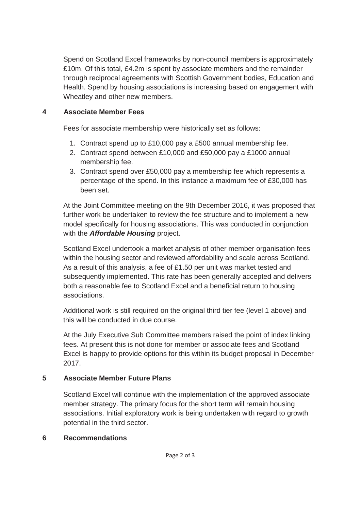Spend on Scotland Excel frameworks by non-council members is approximately £10m. Of this total, £4.2m is spent by associate members and the remainder through reciprocal agreements with Scottish Government bodies, Education and Health. Spend by housing associations is increasing based on engagement with Wheatley and other new members.

# **4 Associate Member Fees**

Fees for associate membership were historically set as follows:

- 1. Contract spend up to £10,000 pay a £500 annual membership fee.
- 2. Contract spend between £10,000 and £50,000 pay a £1000 annual membership fee.
- 3. Contract spend over £50,000 pay a membership fee which represents a percentage of the spend. In this instance a maximum fee of £30,000 has been set.

At the Joint Committee meeting on the 9th December 2016, it was proposed that further work be undertaken to review the fee structure and to implement a new model specifically for housing associations. This was conducted in conjunction with the *Affordable Housing* project.

Scotland Excel undertook a market analysis of other member organisation fees within the housing sector and reviewed affordability and scale across Scotland. As a result of this analysis, a fee of £1.50 per unit was market tested and subsequently implemented. This rate has been generally accepted and delivers both a reasonable fee to Scotland Excel and a beneficial return to housing associations.

Additional work is still required on the original third tier fee (level 1 above) and this will be conducted in due course.

At the July Executive Sub Committee members raised the point of index linking fees. At present this is not done for member or associate fees and Scotland Excel is happy to provide options for this within its budget proposal in December 2017.

# **5 Associate Member Future Plans**

Scotland Excel will continue with the implementation of the approved associate member strategy. The primary focus for the short term will remain housing associations. Initial exploratory work is being undertaken with regard to growth potential in the third sector.

# **6 Recommendations**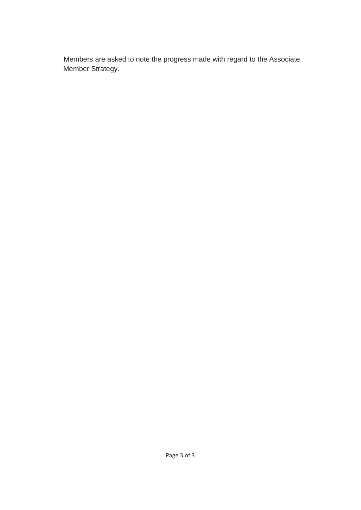Members are asked to note the progress made with regard to the Associate Member Strategy.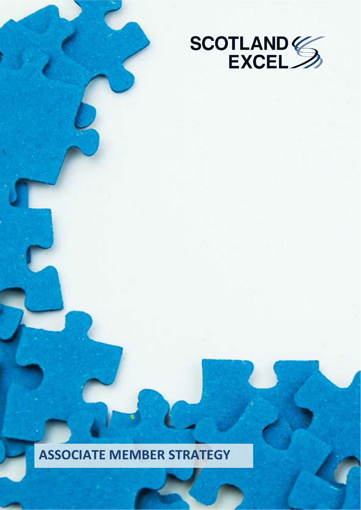

# **ASSOCIATE MEMBER STRATEGY**

Page 1 of 22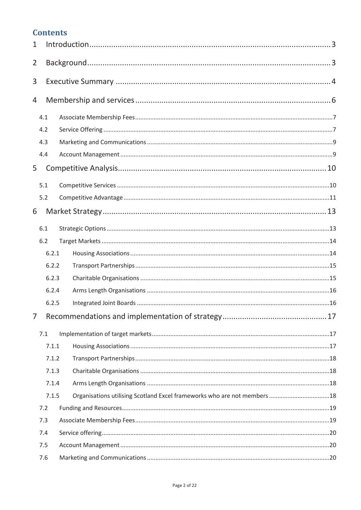# **Contents**

| $\mathbf{1}$   |       |  |
|----------------|-------|--|
| $\overline{2}$ |       |  |
| 3              |       |  |
| 4              |       |  |
|                | 4.1   |  |
|                | 4.2   |  |
|                | 4.3   |  |
|                | 4.4   |  |
| 5              |       |  |
|                | 5.1   |  |
|                | 5.2   |  |
| 6              |       |  |
|                | 6.1   |  |
|                | 6.2   |  |
|                | 6.2.1 |  |
|                | 6.2.2 |  |
|                | 6.2.3 |  |
|                | 6.2.4 |  |
|                | 6.2.5 |  |
| $\overline{7}$ |       |  |
|                | 7.1   |  |
|                | 7.1.1 |  |
|                | 7.1.2 |  |
|                | 7.1.3 |  |
|                | 7.1.4 |  |
|                | 7.1.5 |  |
|                | 7.2   |  |
|                | 7.3   |  |
|                | 7.4   |  |
|                | 7.5   |  |
|                | 7.6   |  |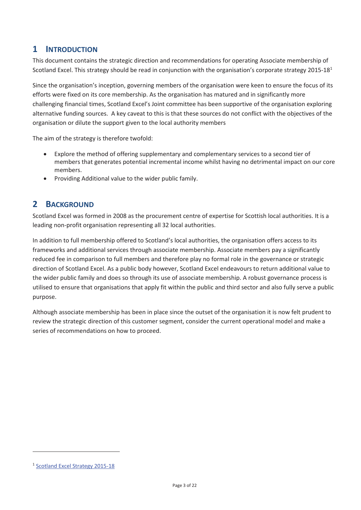# **1 INTRODUCTION**

This document contains the strategic direction and recommendations for operating Associate membership of Scotland Excel. This strategy should be read in conjunction with the organisation's corporate strategy 2015-18<sup>1</sup>

Since the organisation's inception, governing members of the organisation were keen to ensure the focus of its efforts were fixed on its core membership. As the organisation has matured and in significantly more challenging financial times, Scotland Excel's Joint committee has been supportive of the organisation exploring alternative funding sources. A key caveat to this is that these sources do not conflict with the objectives of the organisation or dilute the support given to the local authority members

The aim of the strategy is therefore twofold:

- Explore the method of offering supplementary and complementary services to a second tier of members that generates potential incremental income whilst having no detrimental impact on our core members.
- Providing Additional value to the wider public family.

# **2 BACKGROUND**

Scotland Excel was formed in 2008 as the procurement centre of expertise for Scottish local authorities. It is a leading non-profit organisation representing all 32 local authorities.

In addition to full membership offered to Scotland's local authorities, the organisation offers access to its frameworks and additional services through associate membership. Associate members pay a significantly reduced fee in comparison to full members and therefore play no formal role in the governance or strategic direction of Scotland Excel. As a public body however, Scotland Excel endeavours to return additional value to the wider public family and does so through its use of associate membership. A robust governance process is utilised to ensure that organisations that apply fit within the public and third sector and also fully serve a public purpose.

Although associate membership has been in place since the outset of the organisation it is now felt prudent to review the strategic direction of this customer segment, consider the current operational model and make a series of recommendations on how to proceed.

-

<sup>1</sup> Scotland Excel Strategy 2015-18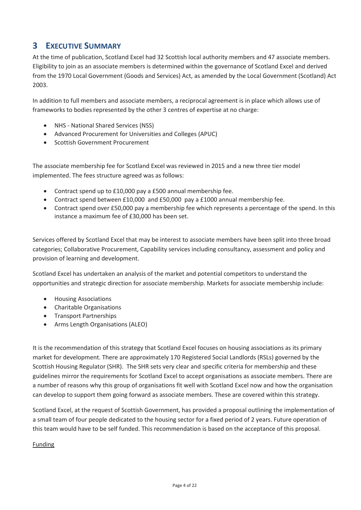# **3 EXECUTIVE SUMMARY**

At the time of publication, Scotland Excel had 32 Scottish local authority members and 47 associate members. Eligibility to join as an associate members is determined within the governance of Scotland Excel and derived from the 1970 Local Government (Goods and Services) Act, as amended by the Local Government (Scotland) Act 2003.

In addition to full members and associate members, a reciprocal agreement is in place which allows use of frameworks to bodies represented by the other 3 centres of expertise at no charge:

- NHS National Shared Services (NSS)
- Advanced Procurement for Universities and Colleges (APUC)
- Scottish Government Procurement

The associate membership fee for Scotland Excel was reviewed in 2015 and a new three tier model implemented. The fees structure agreed was as follows:

- Contract spend up to £10,000 pay a £500 annual membership fee.
- Contract spend between £10,000 and £50,000 pay a £1000 annual membership fee.
- Contract spend over £50,000 pay a membership fee which represents a percentage of the spend. In this instance a maximum fee of £30,000 has been set.

Services offered by Scotland Excel that may be interest to associate members have been split into three broad categories; Collaborative Procurement, Capability services including consultancy, assessment and policy and provision of learning and development.

Scotland Excel has undertaken an analysis of the market and potential competitors to understand the opportunities and strategic direction for associate membership. Markets for associate membership include:

- **•** Housing Associations
- Charitable Organisations
- Transport Partnerships
- Arms Length Organisations (ALEO)

It is the recommendation of this strategy that Scotland Excel focuses on housing associations as its primary market for development. There are approximately 170 Registered Social Landlords (RSLs) governed by the Scottish Housing Regulator (SHR). The SHR sets very clear and specific criteria for membership and these guidelines mirror the requirements for Scotland Excel to accept organisations as associate members. There are a number of reasons why this group of organisations fit well with Scotland Excel now and how the organisation can develop to support them going forward as associate members. These are covered within this strategy.

Scotland Excel, at the request of Scottish Government, has provided a proposal outlining the implementation of a small team of four people dedicated to the housing sector for a fixed period of 2 years. Future operation of this team would have to be self funded. This recommendation is based on the acceptance of this proposal.

### Funding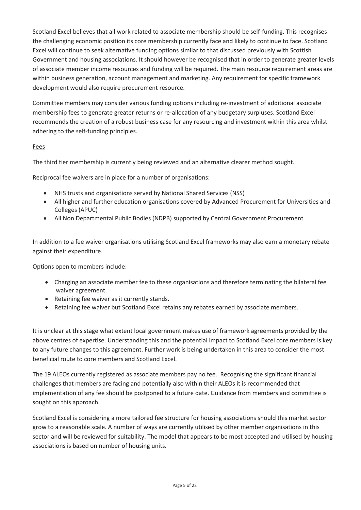Scotland Excel believes that all work related to associate membership should be self-funding. This recognises the challenging economic position its core membership currently face and likely to continue to face. Scotland Excel will continue to seek alternative funding options similar to that discussed previously with Scottish Government and housing associations. It should however be recognised that in order to generate greater levels of associate member income resources and funding will be required. The main resource requirement areas are within business generation, account management and marketing. Any requirement for specific framework development would also require procurement resource.

Committee members may consider various funding options including re-investment of additional associate membership fees to generate greater returns or re-allocation of any budgetary surpluses. Scotland Excel recommends the creation of a robust business case for any resourcing and investment within this area whilst adhering to the self-funding principles.

### Fees

The third tier membership is currently being reviewed and an alternative clearer method sought.

Reciprocal fee waivers are in place for a number of organisations:

- NHS trusts and organisations served by National Shared Services (NSS)
- All higher and further education organisations covered by Advanced Procurement for Universities and Colleges (APUC)
- All Non Departmental Public Bodies (NDPB) supported by Central Government Procurement

In addition to a fee waiver organisations utilising Scotland Excel frameworks may also earn a monetary rebate against their expenditure.

Options open to members include:

- Charging an associate member fee to these organisations and therefore terminating the bilateral fee waiver agreement.
- Retaining fee waiver as it currently stands.
- Retaining fee waiver but Scotland Excel retains any rebates earned by associate members.

It is unclear at this stage what extent local government makes use of framework agreements provided by the above centres of expertise. Understanding this and the potential impact to Scotland Excel core members is key to any future changes to this agreement. Further work is being undertaken in this area to consider the most beneficial route to core members and Scotland Excel.

The 19 ALEOs currently registered as associate members pay no fee. Recognising the significant financial challenges that members are facing and potentially also within their ALEOs it is recommended that implementation of any fee should be postponed to a future date. Guidance from members and committee is sought on this approach.

Scotland Excel is considering a more tailored fee structure for housing associations should this market sector grow to a reasonable scale. A number of ways are currently utilised by other member organisations in this sector and will be reviewed for suitability. The model that appears to be most accepted and utilised by housing associations is based on number of housing units.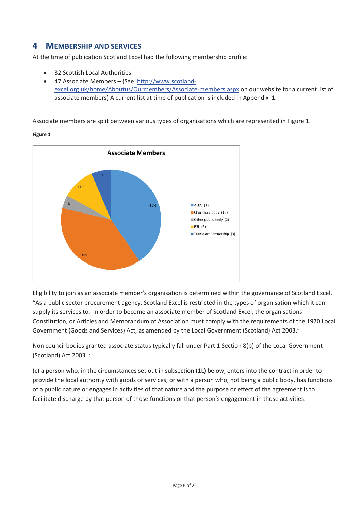# **4 MEMBERSHIP AND SERVICES**

At the time of publication Scotland Excel had the following membership profile:

- 32 Scottish Local Authorities.
- x 47 Associate Members (See http://www.scotlandexcel.org.uk/home/Aboutus/Ourmembers/Associate-members.aspx on our website for a current list of associate members) A current list at time of publication is included in Appendix 1.

Associate members are split between various types of organisations which are represented in Figure 1.



**Figure 1**

Eligibility to join as an associate member's organisation is determined within the governance of Scotland Excel. "As a public sector procurement agency, Scotland Excel is restricted in the types of organisation which it can supply its services to. In order to become an associate member of Scotland Excel, the organisations Constitution, or Articles and Memorandum of Association must comply with the requirements of the 1970 Local Government (Goods and Services) Act, as amended by the Local Government (Scotland) Act 2003."

Non council bodies granted associate status typically fall under Part 1 Section 8(b) of the Local Government (Scotland) Act 2003. :

(c) a person who, in the circumstances set out in subsection (1L) below, enters into the contract in order to provide the local authority with goods or services, or with a person who, not being a public body, has functions of a public nature or engages in activities of that nature and the purpose or effect of the agreement is to facilitate discharge by that person of those functions or that person's engagement in those activities.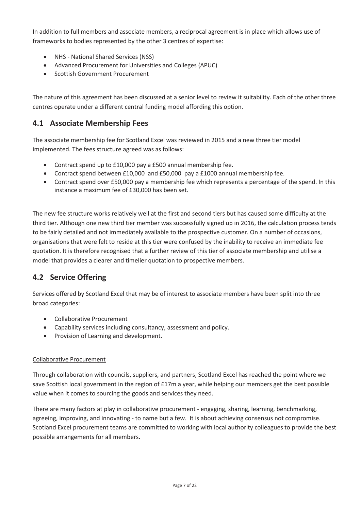In addition to full members and associate members, a reciprocal agreement is in place which allows use of frameworks to bodies represented by the other 3 centres of expertise:

- NHS National Shared Services (NSS)
- Advanced Procurement for Universities and Colleges (APUC)
- Scottish Government Procurement

The nature of this agreement has been discussed at a senior level to review it suitability. Each of the other three centres operate under a different central funding model affording this option.

## **4.1 Associate Membership Fees**

The associate membership fee for Scotland Excel was reviewed in 2015 and a new three tier model implemented. The fees structure agreed was as follows:

- Contract spend up to  $£10,000$  pay a  $£500$  annual membership fee.
- Contract spend between £10,000 and £50,000 pay a £1000 annual membership fee.
- Contract spend over £50,000 pay a membership fee which represents a percentage of the spend. In this instance a maximum fee of £30,000 has been set.

The new fee structure works relatively well at the first and second tiers but has caused some difficulty at the third tier. Although one new third tier member was successfully signed up in 2016, the calculation process tends to be fairly detailed and not immediately available to the prospective customer. On a number of occasions, organisations that were felt to reside at this tier were confused by the inability to receive an immediate fee quotation. It is therefore recognised that a further review of this tier of associate membership and utilise a model that provides a clearer and timelier quotation to prospective members.

# **4.2 Service Offering**

Services offered by Scotland Excel that may be of interest to associate members have been split into three broad categories:

- Collaborative Procurement
- Capability services including consultancy, assessment and policy.
- Provision of Learning and development.

### Collaborative Procurement

Through collaboration with councils, suppliers, and partners, Scotland Excel has reached the point where we save Scottish local government in the region of £17m a year, while helping our members get the best possible value when it comes to sourcing the goods and services they need.

There are many factors at play in collaborative procurement - engaging, sharing, learning, benchmarking, agreeing, improving, and innovating - to name but a few. It is about achieving consensus not compromise. Scotland Excel procurement teams are committed to working with local authority colleagues to provide the best possible arrangements for all members.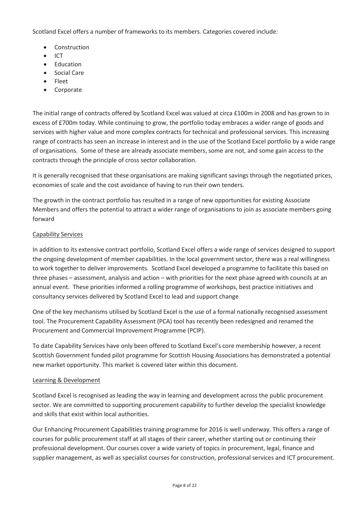Scotland Excel offers a number of frameworks to its members. Categories covered include:

- Construction
- **ICT**
- Education
- Social Care
- Fleet
- Corporate

The initial range of contracts offered by Scotland Excel was valued at circa £100m in 2008 and has grown to in excess of £700m today. While continuing to grow, the portfolio today embraces a wider range of goods and services with higher value and more complex contracts for technical and professional services. This increasing range of contracts has seen an increase in interest and in the use of the Scotland Excel portfolio by a wide range of organisations. Some of these are already associate members, some are not, and some gain access to the contracts through the principle of cross sector collaboration.

It is generally recognised that these organisations are making significant savings through the negotiated prices, economies of scale and the cost avoidance of having to run their own tenders.

The growth in the contract portfolio has resulted in a range of new opportunities for existing Associate Members and offers the potential to attract a wider range of organisations to join as associate members going forward

### Capability Services

In addition to its extensive contract portfolio, Scotland Excel offers a wide range of services designed to support the ongoing development of member capabilities. In the local government sector, there was a real willingness to work together to deliver improvements. Scotland Excel developed a programme to facilitate this based on three phases – assessment, analysis and action – with priorities for the next phase agreed with councils at an annual event. These priorities informed a rolling programme of workshops, best practice initiatives and consultancy services delivered by Scotland Excel to lead and support change

One of the key mechanisms utilised by Scotland Excel is the use of a formal nationally recognised assessment tool. The Procurement Capability Assessment (PCA) tool has recently been redesigned and renamed the Procurement and Commercial Improvement Programme (PCIP).

To date Capability Services have only been offered to Scotland Excel's core membership however, a recent Scottish Government funded pilot programme for Scottish Housing Associations has demonstrated a potential new market opportunity. This market is covered later within this document.

### Learning & Development

Scotland Excel is recognised as leading the way in learning and development across the public procurement sector. We are committed to supporting procurement capability to further develop the specialist knowledge and skills that exist within local authorities.

Our Enhancing Procurement Capabilities training programme for 2016 is well underway. This offers a range of courses for public procurement staff at all stages of their career, whether starting out or continuing their professional development. Our courses cover a wide variety of topics in procurement, legal, finance and supplier management, as well as specialist courses for construction, professional services and ICT procurement.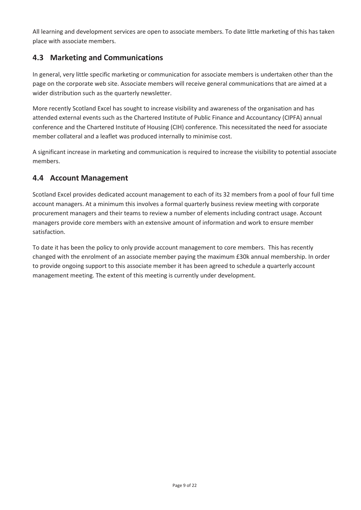All learning and development services are open to associate members. To date little marketing of this has taken place with associate members.

# **4.3 Marketing and Communications**

In general, very little specific marketing or communication for associate members is undertaken other than the page on the corporate web site. Associate members will receive general communications that are aimed at a wider distribution such as the quarterly newsletter.

More recently Scotland Excel has sought to increase visibility and awareness of the organisation and has attended external events such as the Chartered Institute of Public Finance and Accountancy (CIPFA) annual conference and the Chartered Institute of Housing (CIH) conference. This necessitated the need for associate member collateral and a leaflet was produced internally to minimise cost.

A significant increase in marketing and communication is required to increase the visibility to potential associate members.

# **4.4 Account Management**

Scotland Excel provides dedicated account management to each of its 32 members from a pool of four full time account managers. At a minimum this involves a formal quarterly business review meeting with corporate procurement managers and their teams to review a number of elements including contract usage. Account managers provide core members with an extensive amount of information and work to ensure member satisfaction.

To date it has been the policy to only provide account management to core members. This has recently changed with the enrolment of an associate member paying the maximum £30k annual membership. In order to provide ongoing support to this associate member it has been agreed to schedule a quarterly account management meeting. The extent of this meeting is currently under development.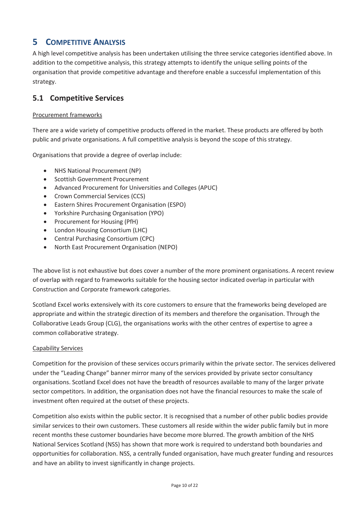# **5 COMPETITIVE ANALYSIS**

A high level competitive analysis has been undertaken utilising the three service categories identified above. In addition to the competitive analysis, this strategy attempts to identify the unique selling points of the organisation that provide competitive advantage and therefore enable a successful implementation of this strategy.

### **5.1 Competitive Services**

#### Procurement frameworks

There are a wide variety of competitive products offered in the market. These products are offered by both public and private organisations. A full competitive analysis is beyond the scope of this strategy.

Organisations that provide a degree of overlap include:

- NHS National Procurement (NP)
- Scottish Government Procurement
- Advanced Procurement for Universities and Colleges (APUC)
- Crown Commercial Services (CCS)
- Eastern Shires Procurement Organisation (ESPO)
- Yorkshire Purchasing Organisation (YPO)
- Procurement for Housing (PfH)
- London Housing Consortium (LHC)
- Central Purchasing Consortium (CPC)
- North East Procurement Organisation (NEPO)

The above list is not exhaustive but does cover a number of the more prominent organisations. A recent review of overlap with regard to frameworks suitable for the housing sector indicated overlap in particular with Construction and Corporate framework categories.

Scotland Excel works extensively with its core customers to ensure that the frameworks being developed are appropriate and within the strategic direction of its members and therefore the organisation. Through the Collaborative Leads Group (CLG), the organisations works with the other centres of expertise to agree a common collaborative strategy.

### Capability Services

Competition for the provision of these services occurs primarily within the private sector. The services delivered under the "Leading Change" banner mirror many of the services provided by private sector consultancy organisations. Scotland Excel does not have the breadth of resources available to many of the larger private sector competitors. In addition, the organisation does not have the financial resources to make the scale of investment often required at the outset of these projects.

Competition also exists within the public sector. It is recognised that a number of other public bodies provide similar services to their own customers. These customers all reside within the wider public family but in more recent months these customer boundaries have become more blurred. The growth ambition of the NHS National Services Scotland (NSS) has shown that more work is required to understand both boundaries and opportunities for collaboration. NSS, a centrally funded organisation, have much greater funding and resources and have an ability to invest significantly in change projects.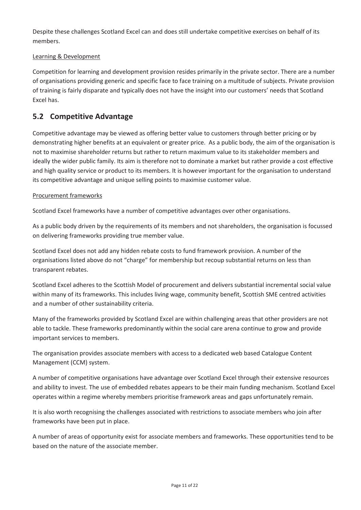Despite these challenges Scotland Excel can and does still undertake competitive exercises on behalf of its members.

### Learning & Development

Competition for learning and development provision resides primarily in the private sector. There are a number of organisations providing generic and specific face to face training on a multitude of subjects. Private provision of training is fairly disparate and typically does not have the insight into our customers' needs that Scotland Excel has.

# **5.2 Competitive Advantage**

Competitive advantage may be viewed as offering better value to customers through better pricing or by demonstrating higher benefits at an equivalent or greater price. As a public body, the aim of the organisation is not to maximise shareholder returns but rather to return maximum value to its stakeholder members and ideally the wider public family. Its aim is therefore not to dominate a market but rather provide a cost effective and high quality service or product to its members. It is however important for the organisation to understand its competitive advantage and unique selling points to maximise customer value.

### Procurement frameworks

Scotland Excel frameworks have a number of competitive advantages over other organisations.

As a public body driven by the requirements of its members and not shareholders, the organisation is focussed on delivering frameworks providing true member value.

Scotland Excel does not add any hidden rebate costs to fund framework provision. A number of the organisations listed above do not "charge" for membership but recoup substantial returns on less than transparent rebates.

Scotland Excel adheres to the Scottish Model of procurement and delivers substantial incremental social value within many of its frameworks. This includes living wage, community benefit, Scottish SME centred activities and a number of other sustainability criteria.

Many of the frameworks provided by Scotland Excel are within challenging areas that other providers are not able to tackle. These frameworks predominantly within the social care arena continue to grow and provide important services to members.

The organisation provides associate members with access to a dedicated web based Catalogue Content Management (CCM) system.

A number of competitive organisations have advantage over Scotland Excel through their extensive resources and ability to invest. The use of embedded rebates appears to be their main funding mechanism. Scotland Excel operates within a regime whereby members prioritise framework areas and gaps unfortunately remain.

It is also worth recognising the challenges associated with restrictions to associate members who join after frameworks have been put in place.

A number of areas of opportunity exist for associate members and frameworks. These opportunities tend to be based on the nature of the associate member.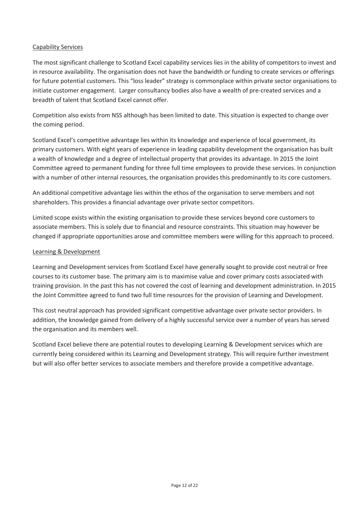#### Capability Services

The most significant challenge to Scotland Excel capability services lies in the ability of competitors to invest and in resource availability. The organisation does not have the bandwidth or funding to create services or offerings for future potential customers. This "loss leader" strategy is commonplace within private sector organisations to initiate customer engagement. Larger consultancy bodies also have a wealth of pre-created services and a breadth of talent that Scotland Excel cannot offer.

Competition also exists from NSS although has been limited to date. This situation is expected to change over the coming period.

Scotland Excel's competitive advantage lies within its knowledge and experience of local government, its primary customers. With eight years of experience in leading capability development the organisation has built a wealth of knowledge and a degree of intellectual property that provides its advantage. In 2015 the Joint Committee agreed to permanent funding for three full time employees to provide these services. In conjunction with a number of other internal resources, the organisation provides this predominantly to its core customers.

An additional competitive advantage lies within the ethos of the organisation to serve members and not shareholders. This provides a financial advantage over private sector competitors.

Limited scope exists within the existing organisation to provide these services beyond core customers to associate members. This is solely due to financial and resource constraints. This situation may however be changed if appropriate opportunities arose and committee members were willing for this approach to proceed.

#### Learning & Development

Learning and Development services from Scotland Excel have generally sought to provide cost neutral or free courses to its customer base. The primary aim is to maximise value and cover primary costs associated with training provision. In the past this has not covered the cost of learning and development administration. In 2015 the Joint Committee agreed to fund two full time resources for the provision of Learning and Development.

This cost neutral approach has provided significant competitive advantage over private sector providers. In addition, the knowledge gained from delivery of a highly successful service over a number of years has served the organisation and its members well.

Scotland Excel believe there are potential routes to developing Learning & Development services which are currently being considered within its Learning and Development strategy. This will require further investment but will also offer better services to associate members and therefore provide a competitive advantage.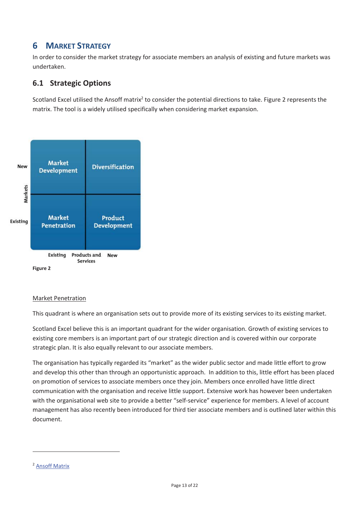# **6 MARKET STRATEGY**

In order to consider the market strategy for associate members an analysis of existing and future markets was undertaken.

# **6.1 Strategic Options**

Scotland Excel utilised the Ansoff matrix<sup>2</sup> to consider the potential directions to take. Figure 2 represents the matrix. The tool is a widely utilised specifically when considering market expansion.



#### Market Penetration

This quadrant is where an organisation sets out to provide more of its existing services to its existing market.

Scotland Excel believe this is an important quadrant for the wider organisation. Growth of existing services to existing core members is an important part of our strategic direction and is covered within our corporate strategic plan. It is also equally relevant to our associate members.

The organisation has typically regarded its "market" as the wider public sector and made little effort to grow and develop this other than through an opportunistic approach. In addition to this, little effort has been placed on promotion of services to associate members once they join. Members once enrolled have little direct communication with the organisation and receive little support. Extensive work has however been undertaken with the organisational web site to provide a better "self-service" experience for members. A level of account management has also recently been introduced for third tier associate members and is outlined later within this document.

-

<sup>2</sup> Ansoff Matrix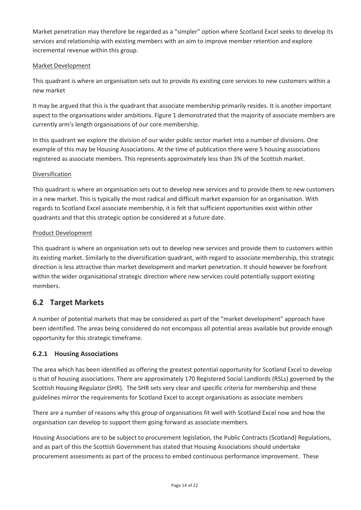Market penetration may therefore be regarded as a "simpler" option where Scotland Excel seeks to develop its services and relationship with existing members with an aim to improve member retention and explore incremental revenue within this group.

### Market Development

This quadrant is where an organisation sets out to provide its existing core services to new customers within a new market

It may be argued that this is the quadrant that associate membership primarily resides. It is another important aspect to the organisations wider ambitions. Figure 1 demonstrated that the majority of associate members are currently arm's length organisations of our core membership.

In this quadrant we explore the division of our wider public sector market into a number of divisions. One example of this may be Housing Associations. At the time of publication there were 5 housing associations registered as associate members. This represents approximately less than 3% of the Scottish market.

### Diversification

This quadrant is where an organisation sets out to develop new services and to provide them to new customers in a new market. This is typically the most radical and difficult market expansion for an organisation. With regards to Scotland Excel associate membership, it is felt that sufficient opportunities exist within other quadrants and that this strategic option be considered at a future date.

### Product Development

This quadrant is where an organisation sets out to develop new services and provide them to customers within its existing market. Similarly to the diversification quadrant, with regard to associate membership, this strategic direction is less attractive than market development and market penetration. It should however be forefront within the wider organisational strategic direction where new services could potentially support existing members.

# **6.2 Target Markets**

A number of potential markets that may be considered as part of the "market development" approach have been identified. The areas being considered do not encompass all potential areas available but provide enough opportunity for this strategic timeframe.

### **6.2.1 Housing Associations**

The area which has been identified as offering the greatest potential opportunity for Scotland Excel to develop is that of housing associations. There are approximately 170 Registered Social Landlords (RSLs) governed by the Scottish Housing Regulator (SHR). The SHR sets very clear and specific criteria for membership and these guidelines mirror the requirements for Scotland Excel to accept organisations as associate members

There are a number of reasons why this group of organisations fit well with Scotland Excel now and how the organisation can develop to support them going forward as associate members.

Housing Associations are to be subject to procurement legislation, the Public Contracts (Scotland) Regulations, and as part of this the Scottish Government has stated that Housing Associations should undertake procurement assessments as part of the process to embed continuous performance improvement. These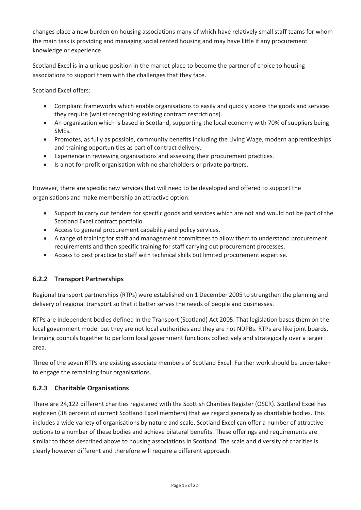changes place a new burden on housing associations many of which have relatively small staff teams for whom the main task is providing and managing social rented housing and may have little if any procurement knowledge or experience.

Scotland Excel is in a unique position in the market place to become the partner of choice to housing associations to support them with the challenges that they face.

Scotland Excel offers:

- Compliant frameworks which enable organisations to easily and quickly access the goods and services they require (whilst recognising existing contract restrictions).
- An organisation which is based in Scotland, supporting the local economy with 70% of suppliers being SMEs.
- Promotes, as fully as possible, community benefits including the Living Wage, modern apprenticeships and training opportunities as part of contract delivery.
- Experience in reviewing organisations and assessing their procurement practices.
- Is a not for profit organisation with no shareholders or private partners.

However, there are specific new services that will need to be developed and offered to support the organisations and make membership an attractive option:

- Support to carry out tenders for specific goods and services which are not and would not be part of the Scotland Excel contract portfolio.
- Access to general procurement capability and policy services.
- A range of training for staff and management committees to allow them to understand procurement requirements and then specific training for staff carrying out procurement processes.
- Access to best practice to staff with technical skills but limited procurement expertise.

### **6.2.2 Transport Partnerships**

Regional transport partnerships (RTPs) were established on 1 December 2005 to strengthen the planning and delivery of regional transport so that it better serves the needs of people and businesses.

RTPs are independent bodies defined in the Transport (Scotland) Act 2005. That legislation bases them on the local government model but they are not local authorities and they are not NDPBs. RTPs are like joint boards, bringing councils together to perform local government functions collectively and strategically over a larger area.

Three of the seven RTPs are existing associate members of Scotland Excel. Further work should be undertaken to engage the remaining four organisations.

### **6.2.3 Charitable Organisations**

There are 24,122 different charities registered with the Scottish Charities Register (OSCR). Scotland Excel has eighteen (38 percent of current Scotland Excel members) that we regard generally as charitable bodies. This includes a wide variety of organisations by nature and scale. Scotland Excel can offer a number of attractive options to a number of these bodies and achieve bilateral benefits. These offerings and requirements are similar to those described above to housing associations in Scotland. The scale and diversity of charities is clearly however different and therefore will require a different approach.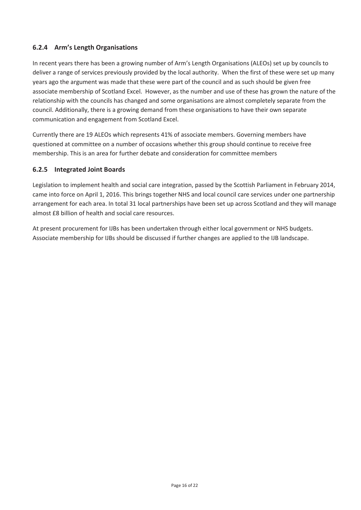### **6.2.4 Arm's Length Organisations**

In recent years there has been a growing number of Arm's Length Organisations (ALEOs) set up by councils to deliver a range of services previously provided by the local authority. When the first of these were set up many years ago the argument was made that these were part of the council and as such should be given free associate membership of Scotland Excel. However, as the number and use of these has grown the nature of the relationship with the councils has changed and some organisations are almost completely separate from the council. Additionally, there is a growing demand from these organisations to have their own separate communication and engagement from Scotland Excel.

Currently there are 19 ALEOs which represents 41% of associate members. Governing members have questioned at committee on a number of occasions whether this group should continue to receive free membership. This is an area for further debate and consideration for committee members

### **6.2.5 Integrated Joint Boards**

Legislation to implement health and social care integration, passed by the Scottish Parliament in February 2014, came into force on April 1, 2016. This brings together NHS and local council care services under one partnership arrangement for each area. In total 31 local partnerships have been set up across Scotland and they will manage almost £8 billion of health and social care resources.

At present procurement for IJBs has been undertaken through either local government or NHS budgets. Associate membership for IJBs should be discussed if further changes are applied to the IJB landscape.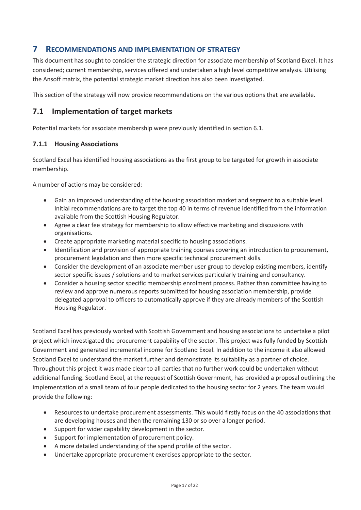# **7 RECOMMENDATIONS AND IMPLEMENTATION OF STRATEGY**

This document has sought to consider the strategic direction for associate membership of Scotland Excel. It has considered; current membership, services offered and undertaken a high level competitive analysis. Utilising the Ansoff matrix, the potential strategic market direction has also been investigated.

This section of the strategy will now provide recommendations on the various options that are available.

# **7.1 Implementation of target markets**

Potential markets for associate membership were previously identified in section 6.1.

### **7.1.1 Housing Associations**

Scotland Excel has identified housing associations as the first group to be targeted for growth in associate membership.

A number of actions may be considered:

- Gain an improved understanding of the housing association market and segment to a suitable level. Initial recommendations are to target the top 40 in terms of revenue identified from the information available from the Scottish Housing Regulator.
- Agree a clear fee strategy for membership to allow effective marketing and discussions with organisations.
- Create appropriate marketing material specific to housing associations.
- Identification and provision of appropriate training courses covering an introduction to procurement, procurement legislation and then more specific technical procurement skills.
- Consider the development of an associate member user group to develop existing members, identify sector specific issues / solutions and to market services particularly training and consultancy.
- Consider a housing sector specific membership enrolment process. Rather than committee having to review and approve numerous reports submitted for housing association membership, provide delegated approval to officers to automatically approve if they are already members of the Scottish Housing Regulator.

Scotland Excel has previously worked with Scottish Government and housing associations to undertake a pilot project which investigated the procurement capability of the sector. This project was fully funded by Scottish Government and generated incremental income for Scotland Excel. In addition to the income it also allowed Scotland Excel to understand the market further and demonstrate its suitability as a partner of choice. Throughout this project it was made clear to all parties that no further work could be undertaken without additional funding. Scotland Excel, at the request of Scottish Government, has provided a proposal outlining the implementation of a small team of four people dedicated to the housing sector for 2 years. The team would provide the following:

- Resources to undertake procurement assessments. This would firstly focus on the 40 associations that are developing houses and then the remaining 130 or so over a longer period.
- Support for wider capability development in the sector.
- Support for implementation of procurement policy.
- A more detailed understanding of the spend profile of the sector.
- Undertake appropriate procurement exercises appropriate to the sector.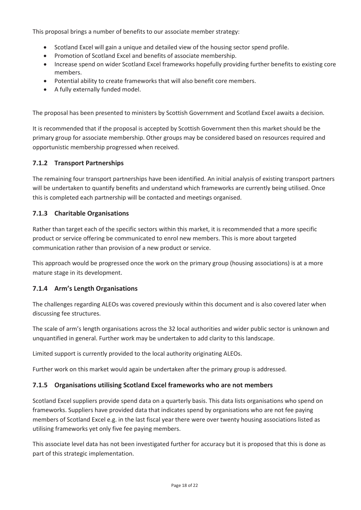This proposal brings a number of benefits to our associate member strategy:

- Scotland Excel will gain a unique and detailed view of the housing sector spend profile.
- Promotion of Scotland Excel and benefits of associate membership.
- Increase spend on wider Scotland Excel frameworks hopefully providing further benefits to existing core members.
- Potential ability to create frameworks that will also benefit core members.
- A fully externally funded model.

The proposal has been presented to ministers by Scottish Government and Scotland Excel awaits a decision.

It is recommended that if the proposal is accepted by Scottish Government then this market should be the primary group for associate membership. Other groups may be considered based on resources required and opportunistic membership progressed when received.

### **7.1.2 Transport Partnerships**

The remaining four transport partnerships have been identified. An initial analysis of existing transport partners will be undertaken to quantify benefits and understand which frameworks are currently being utilised. Once this is completed each partnership will be contacted and meetings organised.

### **7.1.3 Charitable Organisations**

Rather than target each of the specific sectors within this market, it is recommended that a more specific product or service offering be communicated to enrol new members. This is more about targeted communication rather than provision of a new product or service.

This approach would be progressed once the work on the primary group (housing associations) is at a more mature stage in its development.

### **7.1.4 Arm's Length Organisations**

The challenges regarding ALEOs was covered previously within this document and is also covered later when discussing fee structures.

The scale of arm's length organisations across the 32 local authorities and wider public sector is unknown and unquantified in general. Further work may be undertaken to add clarity to this landscape.

Limited support is currently provided to the local authority originating ALEOs.

Further work on this market would again be undertaken after the primary group is addressed.

### **7.1.5 Organisations utilising Scotland Excel frameworks who are not members**

Scotland Excel suppliers provide spend data on a quarterly basis. This data lists organisations who spend on frameworks. Suppliers have provided data that indicates spend by organisations who are not fee paying members of Scotland Excel e.g. in the last fiscal year there were over twenty housing associations listed as utilising frameworks yet only five fee paying members.

This associate level data has not been investigated further for accuracy but it is proposed that this is done as part of this strategic implementation.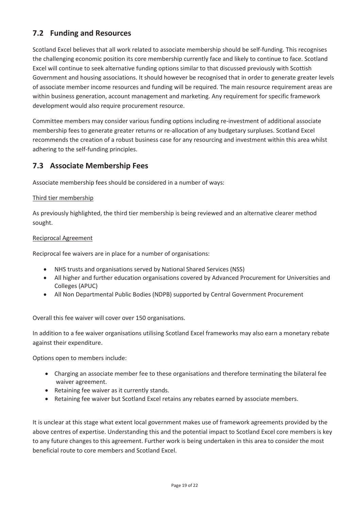# **7.2 Funding and Resources**

Scotland Excel believes that all work related to associate membership should be self-funding. This recognises the challenging economic position its core membership currently face and likely to continue to face. Scotland Excel will continue to seek alternative funding options similar to that discussed previously with Scottish Government and housing associations. It should however be recognised that in order to generate greater levels of associate member income resources and funding will be required. The main resource requirement areas are within business generation, account management and marketing. Any requirement for specific framework development would also require procurement resource.

Committee members may consider various funding options including re-investment of additional associate membership fees to generate greater returns or re-allocation of any budgetary surpluses. Scotland Excel recommends the creation of a robust business case for any resourcing and investment within this area whilst adhering to the self-funding principles.

# **7.3 Associate Membership Fees**

Associate membership fees should be considered in a number of ways:

#### Third tier membership

As previously highlighted, the third tier membership is being reviewed and an alternative clearer method sought.

#### Reciprocal Agreement

Reciprocal fee waivers are in place for a number of organisations:

- NHS trusts and organisations served by National Shared Services (NSS)
- All higher and further education organisations covered by Advanced Procurement for Universities and Colleges (APUC)
- All Non Departmental Public Bodies (NDPB) supported by Central Government Procurement

Overall this fee waiver will cover over 150 organisations.

In addition to a fee waiver organisations utilising Scotland Excel frameworks may also earn a monetary rebate against their expenditure.

Options open to members include:

- Charging an associate member fee to these organisations and therefore terminating the bilateral fee waiver agreement.
- $\bullet$  Retaining fee waiver as it currently stands.
- Retaining fee waiver but Scotland Excel retains any rebates earned by associate members.

It is unclear at this stage what extent local government makes use of framework agreements provided by the above centres of expertise. Understanding this and the potential impact to Scotland Excel core members is key to any future changes to this agreement. Further work is being undertaken in this area to consider the most beneficial route to core members and Scotland Excel.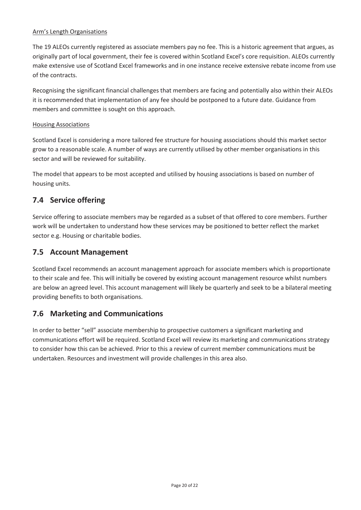#### Arm's Length Organisations

The 19 ALEOs currently registered as associate members pay no fee. This is a historic agreement that argues, as originally part of local government, their fee is covered within Scotland Excel's core requisition. ALEOs currently make extensive use of Scotland Excel frameworks and in one instance receive extensive rebate income from use of the contracts.

Recognising the significant financial challenges that members are facing and potentially also within their ALEOs it is recommended that implementation of any fee should be postponed to a future date. Guidance from members and committee is sought on this approach.

#### Housing Associations

Scotland Excel is considering a more tailored fee structure for housing associations should this market sector grow to a reasonable scale. A number of ways are currently utilised by other member organisations in this sector and will be reviewed for suitability.

The model that appears to be most accepted and utilised by housing associations is based on number of housing units.

### **7.4 Service offering**

Service offering to associate members may be regarded as a subset of that offered to core members. Further work will be undertaken to understand how these services may be positioned to better reflect the market sector e.g. Housing or charitable bodies.

### **7.5 Account Management**

Scotland Excel recommends an account management approach for associate members which is proportionate to their scale and fee. This will initially be covered by existing account management resource whilst numbers are below an agreed level. This account management will likely be quarterly and seek to be a bilateral meeting providing benefits to both organisations.

### **7.6 Marketing and Communications**

In order to better "sell" associate membership to prospective customers a significant marketing and communications effort will be required. Scotland Excel will review its marketing and communications strategy to consider how this can be achieved. Prior to this a review of current member communications must be undertaken. Resources and investment will provide challenges in this area also.